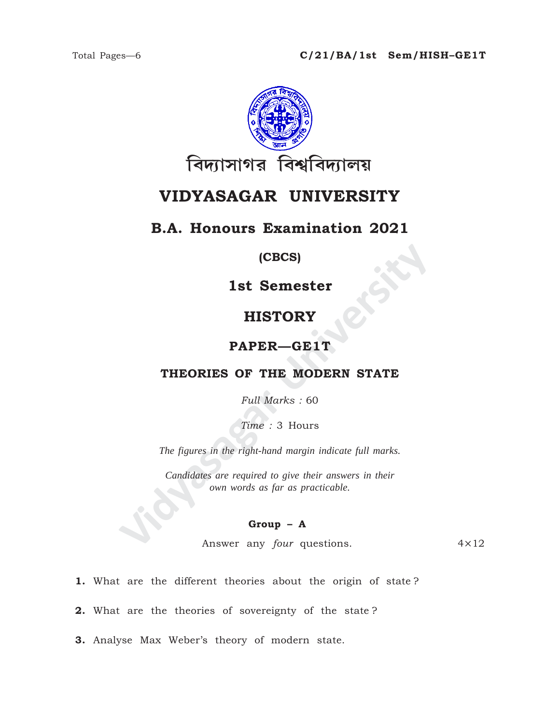

# **VIDYASAGAR UNIVERSITY**

# **B.A. Honours Examination 2021**

## **(CBCS)**

## **1st Semester**

# **HISTORY**

## **PAPER—GE1T**

## **THEORIES OF THE MODERN STATE**

*Full Marks :* 60

*Time :* 3 Hours

*The figures in the right-hand margin indicate full marks.*

**ISTORY<br>
ISTORY<br>
PAPER—GE1T**<br>
THEORIES OF THE MODERN STATE<br>
Full Marks : 60<br>
Time : 3 Hours<br>
The figures in the right-hand margin indicate full marks.<br>
Candidates are required to give their answers in their<br>
cover any four *Candidates are required to give their answers in their own words as far as practicable.*

### **Group – A**

Answer any *four* questions. 4×12

- **1.** What are the different theories about the origin of state ?
- **2.** What are the theories of sovereignty of the state ?
- **3.** Analyse Max Weber's theory of modern state.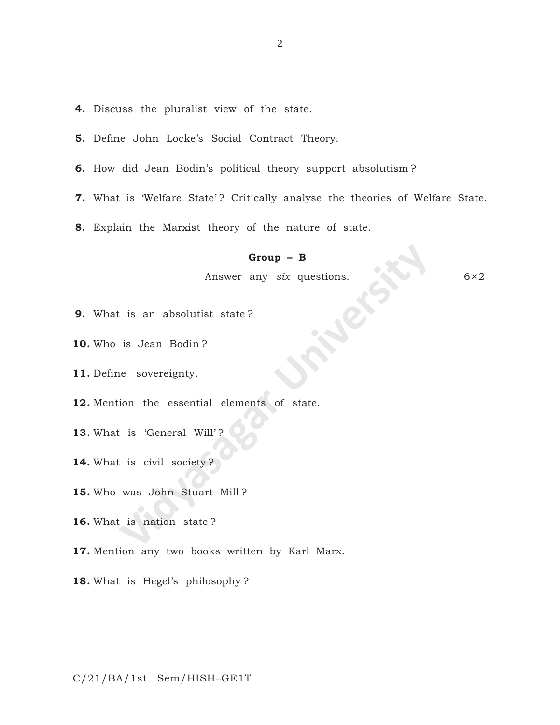- **4.** Discuss the pluralist view of the state.
- **5.** Define John Locke's Social Contract Theory.
- **6.** How did Jean Bodin's political theory support absolutism ?
- **7.** What is 'Welfare State'? Critically analyse the theories of Welfare State.
- **8.** Explain the Marxist theory of the nature of state.

#### **Group – B**

Answer any *six* questions. 6×2

- **9.** What is an absolutist state ?
- **10.** Who is Jean Bodin ?
- **11.** Define sovereignty.
- **Group B**<br>
Answer any *six* questions.<br>
is an absolutist state?<br>
is Jean Bodin?<br>
e sovereignty.<br>
ion the essential elements of state.<br>
is 'General Will'?<br>
is civil society?<br>
was John Stuart Mill?<br>
is nation state?<br>
in an **12.** Mention the essential elements of state.
- 13. What is 'General Will'?
- **14.** What is civil society ?
- **15.** Who was John Stuart Mill ?
- **16.** What is nation state ?
- **17.** Mention any two books written by Karl Marx.
- **18.** What is Hegel's philosophy ?

C/21/BA/1st Sem/HISH–GE1T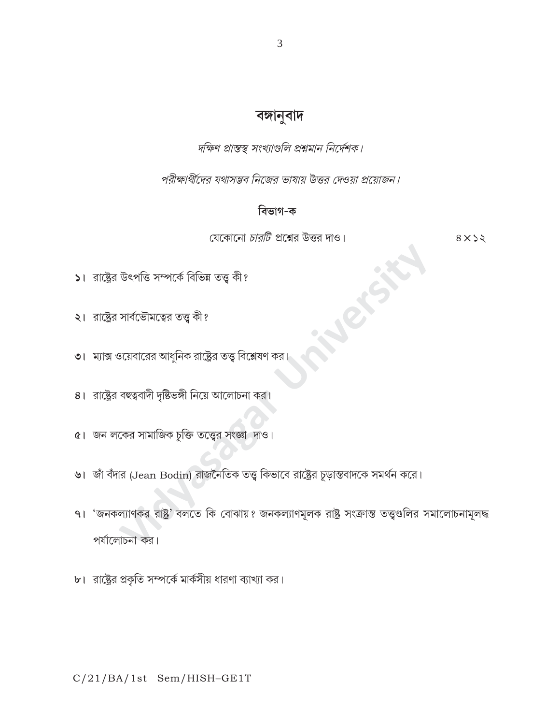# বঙ্গানুবাদ

দক্ষিণ প্রান্তস্থ সংখ্যাগুলি প্রশ্নমান নির্দেশক।

পরীক্ষার্থীদের যথাসম্ভব নিজের ভাষায় উত্তর দেওয়া প্রয়োজন।

## বিভাগ-ক

যেকোনো *চারটি প্র*শ্নের উত্তর দাও।

 $8 \times 22$ 

- ১। রাষ্ট্রের উৎপত্তি সম্পর্কে বিভিন্ন তত্ত্ব কী?
- ২। রাষ্ট্রের সার্বভৌমত্বের তত্ত্ব কী?
- ৩। ম্যাক্স ওয়েবারের আধুনিক রাষ্ট্রের তত্ত্ব বিশ্লেষণ কর
- 8। রাষ্ট্রের বহুত্ববাদী দৃষ্টিভঙ্গী নিয়ে আলোচনা কর।
- ৫। জন লকের সামাজিক চুক্তি তত্ত্বের সংজ্ঞা দাও।
- ৬। জাঁ বঁদার (Jean Bodin) রাজনৈতিক তত্ত্ব কিভাবে রাষ্ট্রের চূড়ান্তবাদকে সমর্থন করে।
- ৭। 'জনকল্যাণকর রাষ্ট্র' বলতে কি বোঝায়? জনকল্যাণমূলক রাষ্ট্র সংক্রান্ত তত্ত্বগুলির সমালোচনামূলদ্ধ পর্যালোচনা কর।
- ৮। রাষ্ট্রের প্রকৃতি সম্পর্কে মার্কসীয় ধারণা ব্যাখ্যা কর।

### C/21/BA/1st Sem/HISH-GE1T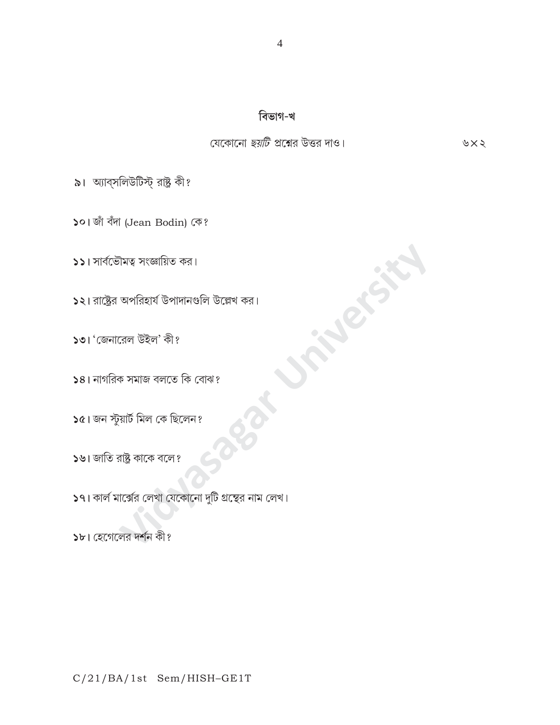### C/21/BA/1st Sem/HISH-GE1T

১৮। হেগেলের দর্শন কী?

 $\sqrt{2}$ । কার্ল মার্ক্সের লেখা যেকোনো দুটি গ্রন্থের নাম লেখ।

১৬। জাতি রাষ্ট্র কাকে বলে?

 $\mathsf{c}$ । জন স্টুয়ার্ট মিল কে ছিলেন?

১৪। নাগরিক সমাজ বলতে কি বোঝ?

১২। রাষ্ট্রের অপরিহার্য উপাদানগুলি উল্লেখ কর।

১১। সার্বভৌমত্ব সংজ্ঞায়িত কর।

১৩। 'জেনারেল উইল' কী?

৯। অ্যাব্সলিউটিস্ট্ রাষ্ট্র কী?

১০। জাঁ বঁদা (Jean Bodin) কে?

যেকোনো *ছয়টি* প্রশ্নের উত্তর দাও।

**Nexts** 

বিভাগ-খ

৬ $\times$ ২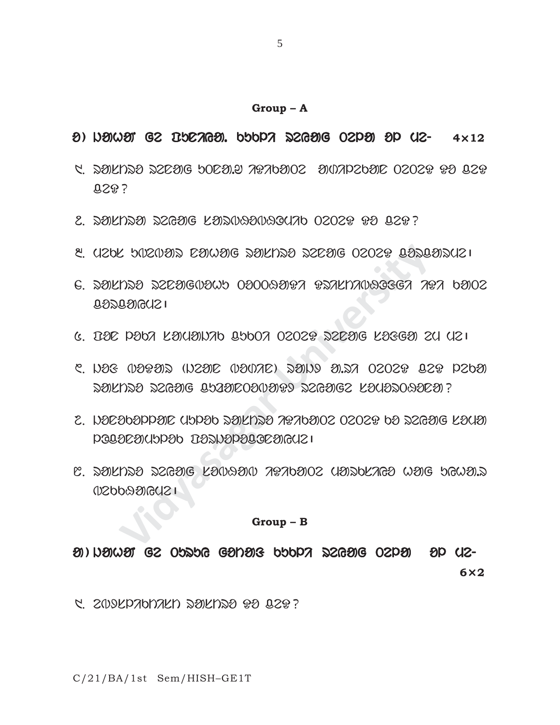#### **Group – A**

### o ) jahaN ge puniya. kukli reyag Tela ol me- eyag Tela ol me- **4**×**12**

- 5. rastro rena do cara dikatang dan terdisipan dan dengan Do contro Do contro di ceD?
- 2. DOKNDO DZGOG KODUQOUQOUAD 0202P PO QZP?
- $3.920$ k bozo $3.5$  rawag saknsa szrag ozozo rastasuzi
- MINING SAMAG 25600 OSOS 50000 OSOS 50000 OSOS 50000 OSOS 50000 OSOS 50000 OSOS 50000 OSOS 50000 OSOS 50000 OSOS<br>The situation of the situation of the situation of the situation of the situation of the situation of the situ  $6.$  solnst szeogodob osoosora rsalnaoscea ara booz  $0.82089$
- $6.$  DIE PODA LIKUINAD 2500A 02028 SZEIG LISGI 2U UZI
- $C.$  Was  $0$ arais (N2aic Oa $0$ ar) sains a.sa  $0$ 2028 isa pabai rakhta regag bagabosaaya reyage kayadoasea?
- 2. NOCOOPPODE UPPOD DOILDDO APADOIO2 0202P DO D2GOIG LOUOI lOconamulok porjolocOnayme|
- $\mathbb{S}$ . dyknes dzesig ksivasii jezhojoz usidkaes wsig hewsid  $1$

#### **Group – B**

 $\mathfrak{A}$ ) iama $\mathfrak{A}$  ge Turuy gotaf gotaf papa segue ol me- e $\mathfrak{a}$  -**6**×**2**

1. ebxsliktist rastro Do ceD?